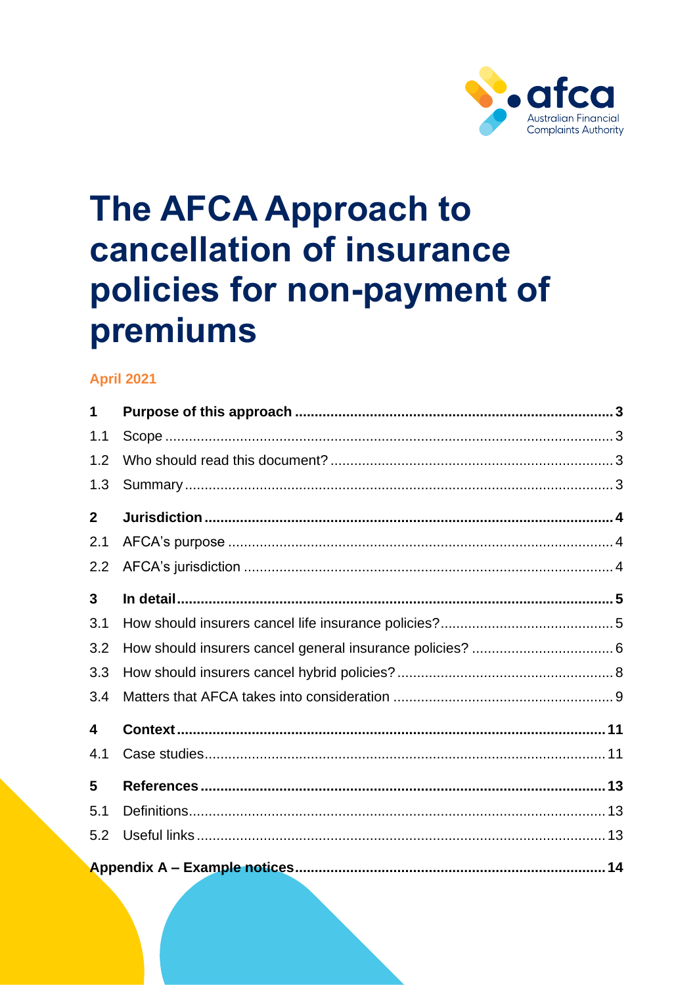

# **The AFCA Approach to** cancellation of insurance policies for non-payment of premiums

# **April 2021**

| 1              |  |  |  |
|----------------|--|--|--|
| 1.1            |  |  |  |
| 1.2            |  |  |  |
| 1.3            |  |  |  |
| $\overline{2}$ |  |  |  |
| 2.1            |  |  |  |
| 2.2            |  |  |  |
| 3              |  |  |  |
| 3.1            |  |  |  |
| 3.2            |  |  |  |
| 3.3            |  |  |  |
| 3.4            |  |  |  |
| 4              |  |  |  |
| 4.1            |  |  |  |
| 5              |  |  |  |
| 5.1            |  |  |  |
| 5.2            |  |  |  |
|                |  |  |  |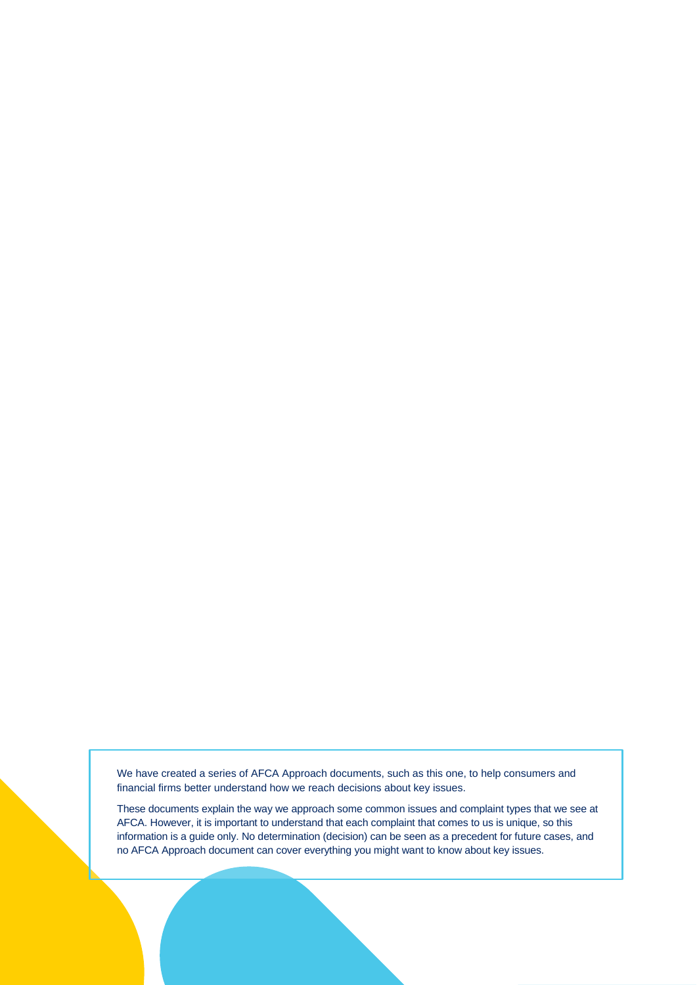We have created a series of AFCA Approach documents, such as this one, to help consumers and financial firms better understand how we reach decisions about key issues.

These documents explain the way we approach some common issues and complaint types that we see at AFCA. However, it is important to understand that each complaint that comes to us is unique, so this information is a guide only. No determination (decision) can be seen as a precedent for future cases, and no AFCA Approach document can cover everything you might want to know about key issues.

The AFCA Approach to cancellation of insurance policies for  $\mathcal{A}_1$  of  $\mathcal{A}_2$  of  $\mathcal{A}_3$  of  $2$  of 18 of 18 of 18 of 18 of 18 of 18 of 18 of 18 of 18 of 18 of 18 of 18 of 18 of 18 of 18 of 18 of 18 of 18 of 18 of 1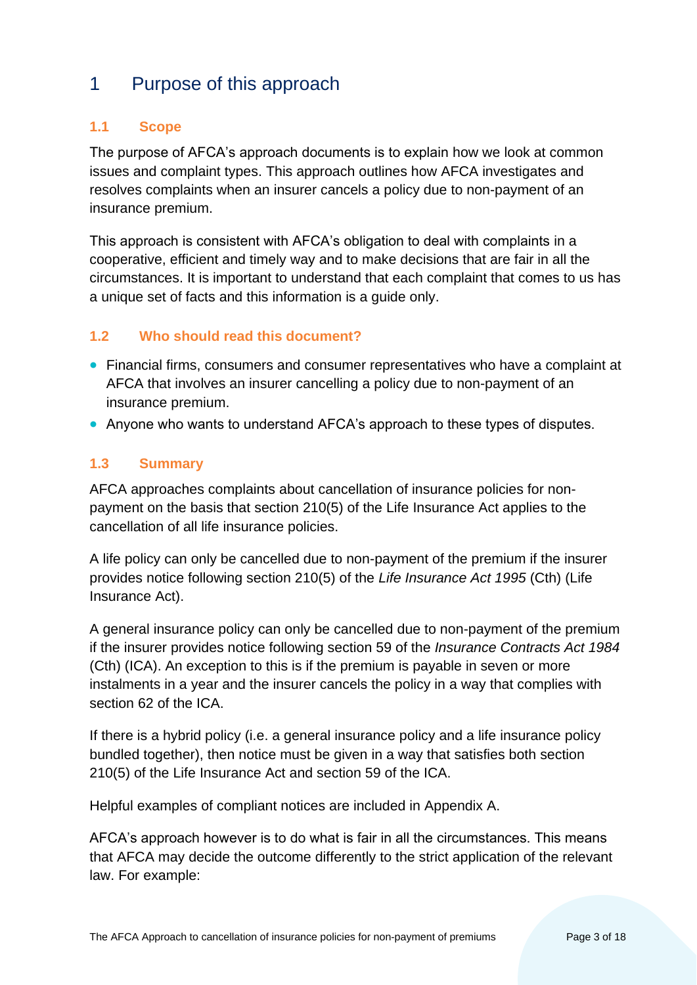# <span id="page-2-0"></span>1 Purpose of this approach

# <span id="page-2-1"></span>**1.1 Scope**

The purpose of AFCA's approach documents is to explain how we look at common issues and complaint types. This approach outlines how AFCA investigates and resolves complaints when an insurer cancels a policy due to non-payment of an insurance premium.

This approach is consistent with AFCA's obligation to deal with complaints in a cooperative, efficient and timely way and to make decisions that are fair in all the circumstances. It is important to understand that each complaint that comes to us has a unique set of facts and this information is a guide only.

# <span id="page-2-2"></span>**1.2 Who should read this document?**

- Financial firms, consumers and consumer representatives who have a complaint at AFCA that involves an insurer cancelling a policy due to non-payment of an insurance premium.
- Anyone who wants to understand AFCA's approach to these types of disputes.

# <span id="page-2-3"></span>**1.3 Summary**

AFCA approaches complaints about cancellation of insurance policies for nonpayment on the basis that section 210(5) of the Life Insurance Act applies to the cancellation of all life insurance policies.

A life policy can only be cancelled due to non-payment of the premium if the insurer provides notice following section 210(5) of the *Life Insurance Act 1995* (Cth) (Life Insurance Act).

A general insurance policy can only be cancelled due to non-payment of the premium if the insurer provides notice following section 59 of the *Insurance Contracts Act 1984* (Cth) (ICA). An exception to this is if the premium is payable in seven or more instalments in a year and the insurer cancels the policy in a way that complies with section 62 of the ICA.

If there is a hybrid policy (i.e. a general insurance policy and a life insurance policy bundled together), then notice must be given in a way that satisfies both section 210(5) of the Life Insurance Act and section 59 of the ICA.

Helpful examples of compliant notices are included in Appendix A.

AFCA's approach however is to do what is fair in all the circumstances. This means that AFCA may decide the outcome differently to the strict application of the relevant law. For example: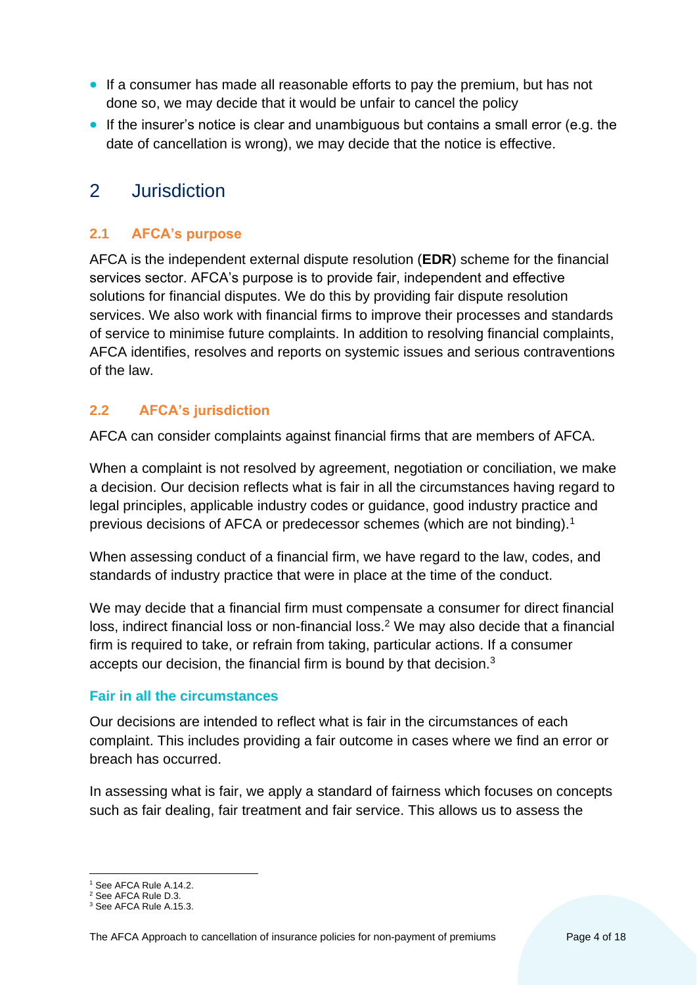- If a consumer has made all reasonable efforts to pay the premium, but has not done so, we may decide that it would be unfair to cancel the policy
- If the insurer's notice is clear and unambiguous but contains a small error (e.g. the date of cancellation is wrong), we may decide that the notice is effective.

# <span id="page-3-0"></span>2 Jurisdiction

# <span id="page-3-1"></span>**2.1 AFCA's purpose**

AFCA is the independent external dispute resolution (**EDR**) scheme for the financial services sector. AFCA's purpose is to provide fair, independent and effective solutions for financial disputes. We do this by providing fair dispute resolution services. We also work with financial firms to improve their processes and standards of service to minimise future complaints. In addition to resolving financial complaints, AFCA identifies, resolves and reports on systemic issues and serious contraventions of the law.

# <span id="page-3-2"></span>**2.2 AFCA's jurisdiction**

AFCA can consider complaints against financial firms that are members of AFCA.

When a complaint is not resolved by agreement, negotiation or conciliation, we make a decision. Our decision reflects what is fair in all the circumstances having regard to legal principles, applicable industry codes or guidance, good industry practice and previous decisions of AFCA or predecessor schemes (which are not binding).<sup>1</sup>

When assessing conduct of a financial firm, we have regard to the law, codes, and standards of industry practice that were in place at the time of the conduct.

We may decide that a financial firm must compensate a consumer for direct financial loss, indirect financial loss or non-financial loss.<sup>2</sup> We may also decide that a financial firm is required to take, or refrain from taking, particular actions. If a consumer accepts our decision, the financial firm is bound by that decision.<sup>3</sup>

#### **Fair in all the circumstances**

Our decisions are intended to reflect what is fair in the circumstances of each complaint. This includes providing a fair outcome in cases where we find an error or breach has occurred.

In assessing what is fair, we apply a standard of fairness which focuses on concepts such as fair dealing, fair treatment and fair service. This allows us to assess the

<sup>1</sup> <sup>1</sup> See AFCA Rule A.14.2.

<sup>2</sup> See AFCA Rule D.3.

<sup>3</sup> See AFCA Rule A.15.3.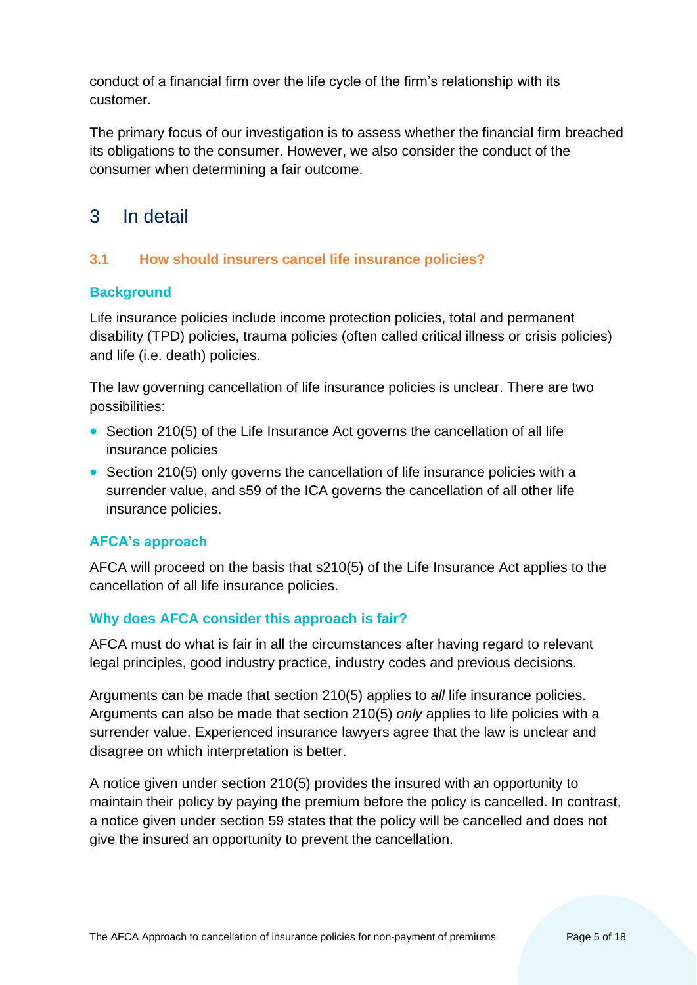conduct of a financial firm over the life cycle of the firm's relationship with its customer.

The primary focus of our investigation is to assess whether the financial firm breached its obligations to the consumer. However, we also consider the conduct of the consumer when determining a fair outcome.

# <span id="page-4-0"></span>3 In detail

# <span id="page-4-1"></span>**3.1 How should insurers cancel life insurance policies?**

# **Background**

Life insurance policies include income protection policies, total and permanent disability (TPD) policies, trauma policies (often called critical illness or crisis policies) and life (i.e. death) policies.

The law governing cancellation of life insurance policies is unclear. There are two possibilities:

- Section 210(5) of the Life Insurance Act governs the cancellation of all life insurance policies
- Section 210(5) only governs the cancellation of life insurance policies with a surrender value, and s59 of the ICA governs the cancellation of all other life insurance policies.

# **AFCA's approach**

AFCA will proceed on the basis that s210(5) of the Life Insurance Act applies to the cancellation of all life insurance policies.

# **Why does AFCA consider this approach is fair?**

AFCA must do what is fair in all the circumstances after having regard to relevant legal principles, good industry practice, industry codes and previous decisions.

Arguments can be made that section 210(5) applies to *all* life insurance policies. Arguments can also be made that section 210(5) *only* applies to life policies with a surrender value. Experienced insurance lawyers agree that the law is unclear and disagree on which interpretation is better.

A notice given under section 210(5) provides the insured with an opportunity to maintain their policy by paying the premium before the policy is cancelled. In contrast, a notice given under section 59 states that the policy will be cancelled and does not give the insured an opportunity to prevent the cancellation.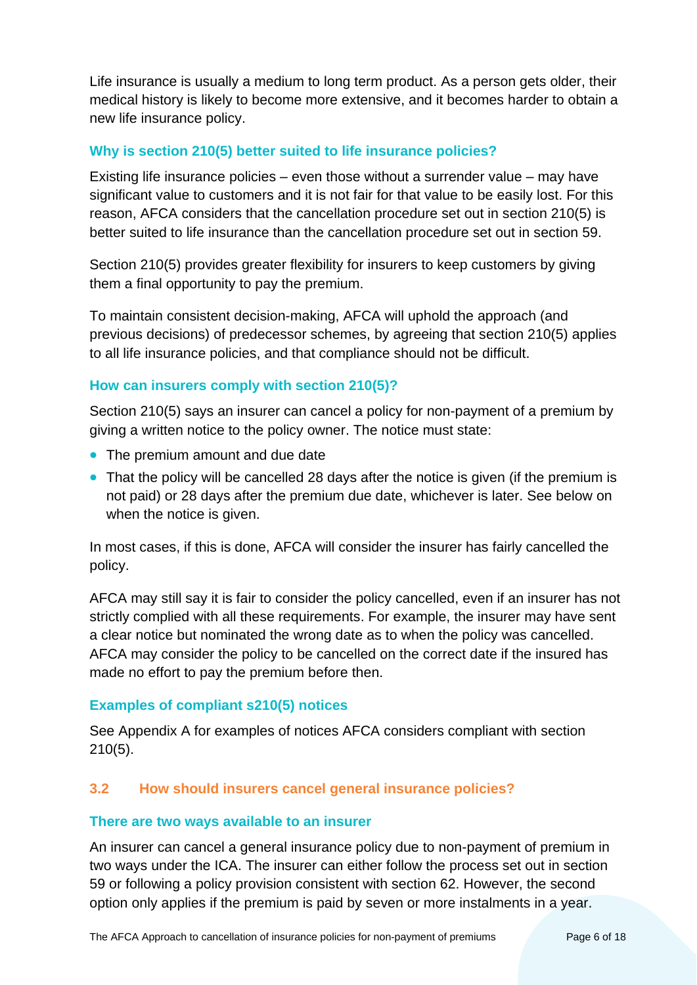Life insurance is usually a medium to long term product. As a person gets older, their medical history is likely to become more extensive, and it becomes harder to obtain a new life insurance policy.

# **Why is section 210(5) better suited to life insurance policies?**

Existing life insurance policies – even those without a surrender value – may have significant value to customers and it is not fair for that value to be easily lost. For this reason, AFCA considers that the cancellation procedure set out in section 210(5) is better suited to life insurance than the cancellation procedure set out in section 59.

Section 210(5) provides greater flexibility for insurers to keep customers by giving them a final opportunity to pay the premium.

To maintain consistent decision-making, AFCA will uphold the approach (and previous decisions) of predecessor schemes, by agreeing that section 210(5) applies to all life insurance policies, and that compliance should not be difficult.

#### **How can insurers comply with section 210(5)?**

Section 210(5) says an insurer can cancel a policy for non-payment of a premium by giving a written notice to the policy owner. The notice must state:

- The premium amount and due date
- That the policy will be cancelled 28 days after the notice is given (if the premium is not paid) or 28 days after the premium due date, whichever is later. See below on when the notice is given.

In most cases, if this is done, AFCA will consider the insurer has fairly cancelled the policy.

AFCA may still say it is fair to consider the policy cancelled, even if an insurer has not strictly complied with all these requirements. For example, the insurer may have sent a clear notice but nominated the wrong date as to when the policy was cancelled. AFCA may consider the policy to be cancelled on the correct date if the insured has made no effort to pay the premium before then.

#### **Examples of compliant s210(5) notices**

See Appendix A for examples of notices AFCA considers compliant with section 210(5).

# <span id="page-5-0"></span>**3.2 How should insurers cancel general insurance policies?**

#### **There are two ways available to an insurer**

An insurer can cancel a general insurance policy due to non-payment of premium in two ways under the ICA. The insurer can either follow the process set out in section 59 or following a policy provision consistent with section 62. However, the second option only applies if the premium is paid by seven or more instalments in a year.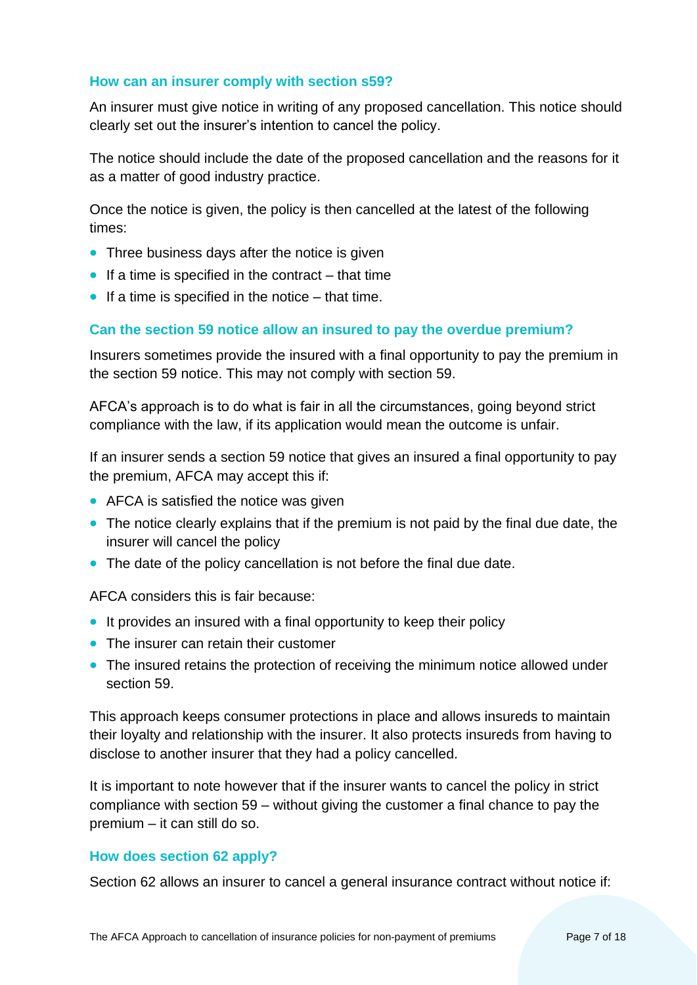#### **How can an insurer comply with section s59?**

An insurer must give notice in writing of any proposed cancellation. This notice should clearly set out the insurer's intention to cancel the policy.

The notice should include the date of the proposed cancellation and the reasons for it as a matter of good industry practice.

Once the notice is given, the policy is then cancelled at the latest of the following times:

- Three business days after the notice is given
- $\bullet$  If a time is specified in the contract that time
- If a time is specified in the notice that time.

#### **Can the section 59 notice allow an insured to pay the overdue premium?**

Insurers sometimes provide the insured with a final opportunity to pay the premium in the section 59 notice. This may not comply with section 59.

AFCA's approach is to do what is fair in all the circumstances, going beyond strict compliance with the law, if its application would mean the outcome is unfair.

If an insurer sends a section 59 notice that gives an insured a final opportunity to pay the premium, AFCA may accept this if:

- AFCA is satisfied the notice was given
- The notice clearly explains that if the premium is not paid by the final due date, the insurer will cancel the policy
- The date of the policy cancellation is not before the final due date.

AFCA considers this is fair because:

- It provides an insured with a final opportunity to keep their policy
- The insurer can retain their customer
- The insured retains the protection of receiving the minimum notice allowed under section 59.

This approach keeps consumer protections in place and allows insureds to maintain their loyalty and relationship with the insurer. It also protects insureds from having to disclose to another insurer that they had a policy cancelled.

It is important to note however that if the insurer wants to cancel the policy in strict compliance with section 59 – without giving the customer a final chance to pay the premium – it can still do so.

#### **How does section 62 apply?**

Section 62 allows an insurer to cancel a general insurance contract without notice if: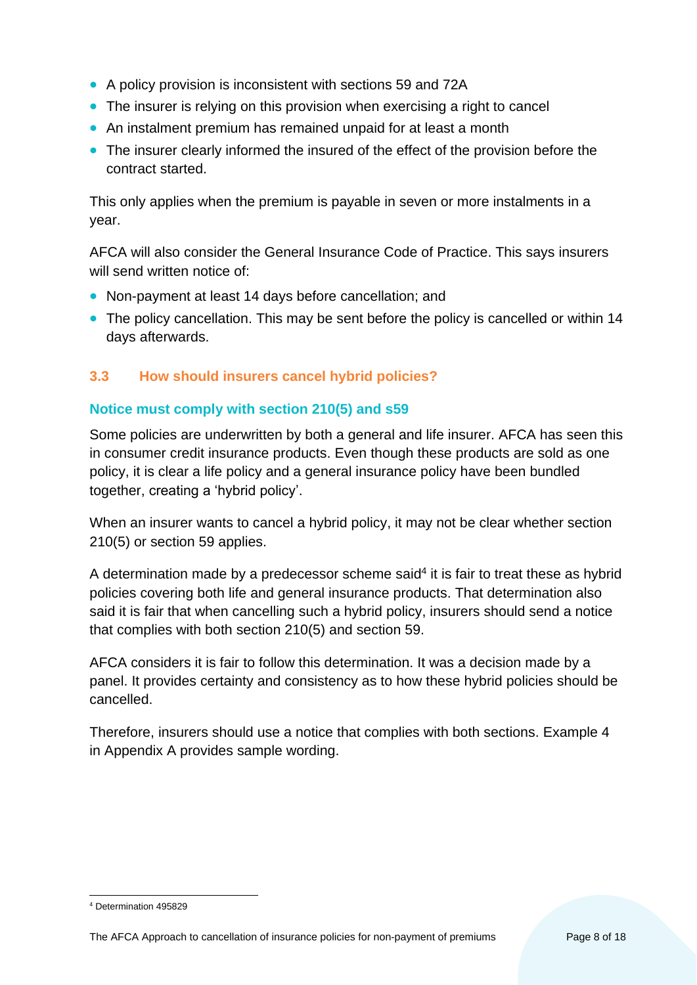- A policy provision is inconsistent with sections 59 and 72A
- The insurer is relying on this provision when exercising a right to cancel
- An instalment premium has remained unpaid for at least a month
- The insurer clearly informed the insured of the effect of the provision before the contract started.

This only applies when the premium is payable in seven or more instalments in a year.

AFCA will also consider the General Insurance Code of Practice. This says insurers will send written notice of:

- Non-payment at least 14 days before cancellation; and
- The policy cancellation. This may be sent before the policy is cancelled or within 14 days afterwards.

# <span id="page-7-0"></span>**3.3 How should insurers cancel hybrid policies?**

# **Notice must comply with section 210(5) and s59**

Some policies are underwritten by both a general and life insurer. AFCA has seen this in consumer credit insurance products. Even though these products are sold as one policy, it is clear a life policy and a general insurance policy have been bundled together, creating a 'hybrid policy'.

When an insurer wants to cancel a hybrid policy, it may not be clear whether section 210(5) or section 59 applies.

A determination made by a predecessor scheme said<sup>4</sup> it is fair to treat these as hybrid policies covering both life and general insurance products. That determination also said it is fair that when cancelling such a hybrid policy, insurers should send a notice that complies with both section 210(5) and section 59.

AFCA considers it is fair to follow this determination. It was a decision made by a panel. It provides certainty and consistency as to how these hybrid policies should be cancelled.

Therefore, insurers should use a notice that complies with both sections. Example 4 in Appendix A provides sample wording.

<sup>1</sup> <sup>4</sup> Determination 495829

The AFCA Approach to cancellation of insurance policies for non-payment of premiums Page 8 of 18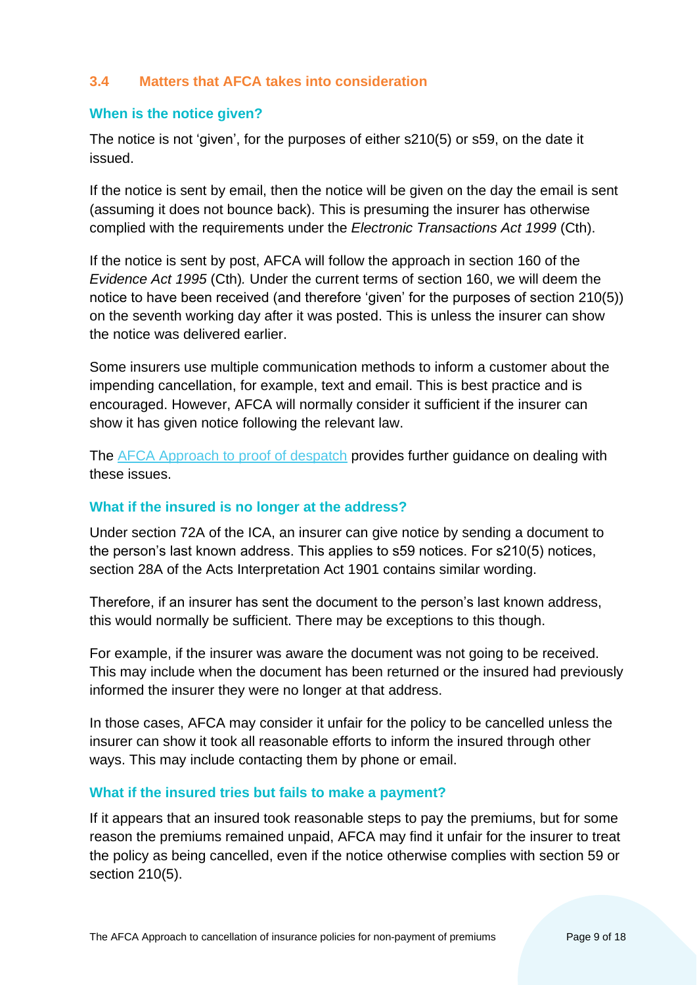#### <span id="page-8-0"></span>**3.4 Matters that AFCA takes into consideration**

#### **When is the notice given?**

The notice is not 'given', for the purposes of either s210(5) or s59, on the date it issued.

If the notice is sent by email, then the notice will be given on the day the email is sent (assuming it does not bounce back). This is presuming the insurer has otherwise complied with the requirements under the *Electronic Transactions Act 1999* (Cth).

If the notice is sent by post, AFCA will follow the approach in section 160 of the *Evidence Act 1995* (Cth)*.* Under the current terms of section 160, we will deem the notice to have been received (and therefore 'given' for the purposes of section 210(5)) on the seventh working day after it was posted. This is unless the insurer can show the notice was delivered earlier.

Some insurers use multiple communication methods to inform a customer about the impending cancellation, for example, text and email. This is best practice and is encouraged. However, AFCA will normally consider it sufficient if the insurer can show it has given notice following the relevant law.

The [AFCA Approach to proof of despatch](https://www.afca.org.au/media/930/download) provides further guidance on dealing with these issues.

#### **What if the insured is no longer at the address?**

Under section 72A of the ICA, an insurer can give notice by sending a document to the person's last known address. This applies to s59 notices. For s210(5) notices, section 28A of the Acts Interpretation Act 1901 contains similar wording.

Therefore, if an insurer has sent the document to the person's last known address, this would normally be sufficient. There may be exceptions to this though.

For example, if the insurer was aware the document was not going to be received. This may include when the document has been returned or the insured had previously informed the insurer they were no longer at that address.

In those cases, AFCA may consider it unfair for the policy to be cancelled unless the insurer can show it took all reasonable efforts to inform the insured through other ways. This may include contacting them by phone or email.

#### **What if the insured tries but fails to make a payment?**

If it appears that an insured took reasonable steps to pay the premiums, but for some reason the premiums remained unpaid, AFCA may find it unfair for the insurer to treat the policy as being cancelled, even if the notice otherwise complies with section 59 or section 210(5).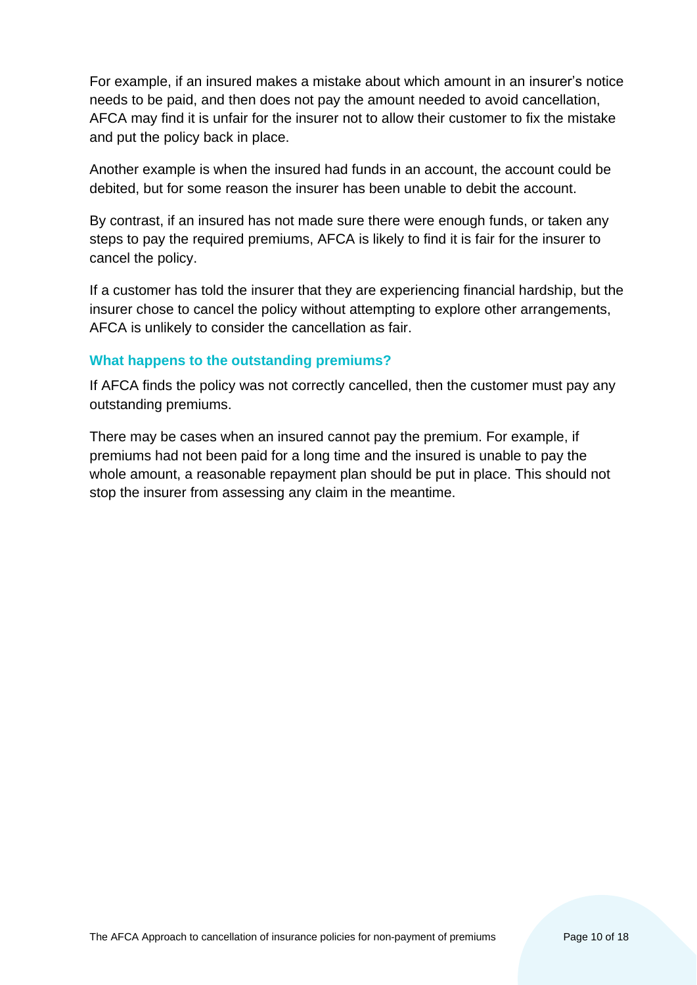For example, if an insured makes a mistake about which amount in an insurer's notice needs to be paid, and then does not pay the amount needed to avoid cancellation, AFCA may find it is unfair for the insurer not to allow their customer to fix the mistake and put the policy back in place.

Another example is when the insured had funds in an account, the account could be debited, but for some reason the insurer has been unable to debit the account.

By contrast, if an insured has not made sure there were enough funds, or taken any steps to pay the required premiums, AFCA is likely to find it is fair for the insurer to cancel the policy.

If a customer has told the insurer that they are experiencing financial hardship, but the insurer chose to cancel the policy without attempting to explore other arrangements, AFCA is unlikely to consider the cancellation as fair.

#### **What happens to the outstanding premiums?**

If AFCA finds the policy was not correctly cancelled, then the customer must pay any outstanding premiums.

There may be cases when an insured cannot pay the premium. For example, if premiums had not been paid for a long time and the insured is unable to pay the whole amount, a reasonable repayment plan should be put in place. This should not stop the insurer from assessing any claim in the meantime.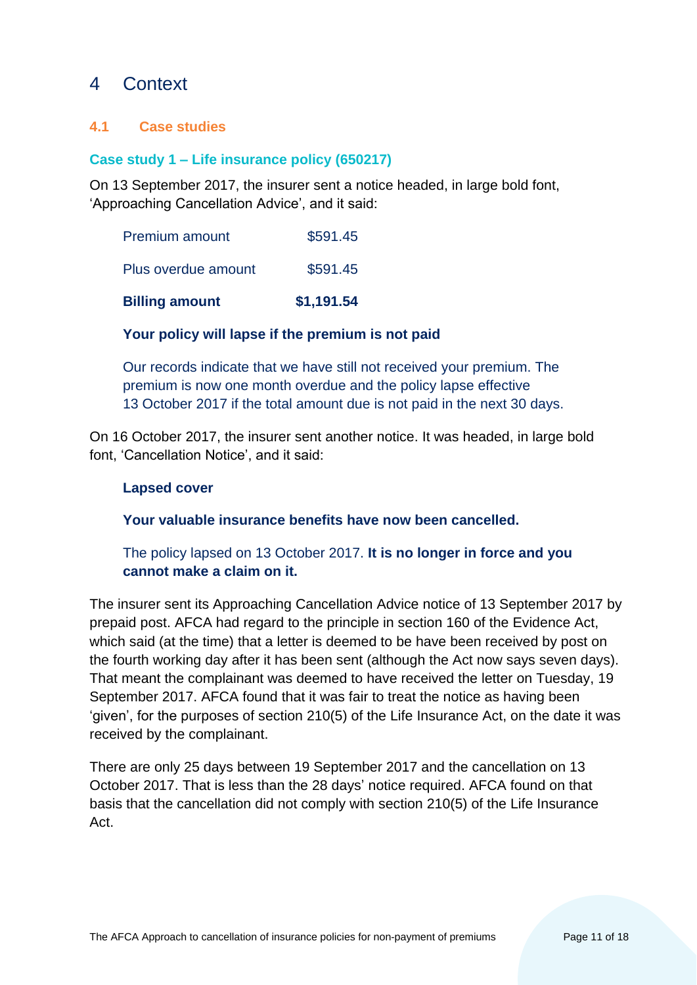# <span id="page-10-0"></span>4 Context

# <span id="page-10-1"></span>**4.1 Case studies**

# **Case study 1 – Life insurance policy (650217)**

On 13 September 2017, the insurer sent a notice headed, in large bold font, 'Approaching Cancellation Advice', and it said:

| <b>Billing amount</b> | \$1,191.54 |
|-----------------------|------------|
| Plus overdue amount   | \$591.45   |
| <b>Premium amount</b> | \$591.45   |

# **Your policy will lapse if the premium is not paid**

Our records indicate that we have still not received your premium. The premium is now one month overdue and the policy lapse effective 13 October 2017 if the total amount due is not paid in the next 30 days.

On 16 October 2017, the insurer sent another notice. It was headed, in large bold font, 'Cancellation Notice', and it said:

#### **Lapsed cover**

**Your valuable insurance benefits have now been cancelled.**

# The policy lapsed on 13 October 2017. **It is no longer in force and you cannot make a claim on it.**

The insurer sent its Approaching Cancellation Advice notice of 13 September 2017 by prepaid post. AFCA had regard to the principle in section 160 of the Evidence Act, which said (at the time) that a letter is deemed to be have been received by post on the fourth working day after it has been sent (although the Act now says seven days). That meant the complainant was deemed to have received the letter on Tuesday, 19 September 2017. AFCA found that it was fair to treat the notice as having been 'given', for the purposes of section 210(5) of the Life Insurance Act, on the date it was received by the complainant.

There are only 25 days between 19 September 2017 and the cancellation on 13 October 2017. That is less than the 28 days' notice required. AFCA found on that basis that the cancellation did not comply with section 210(5) of the Life Insurance Act.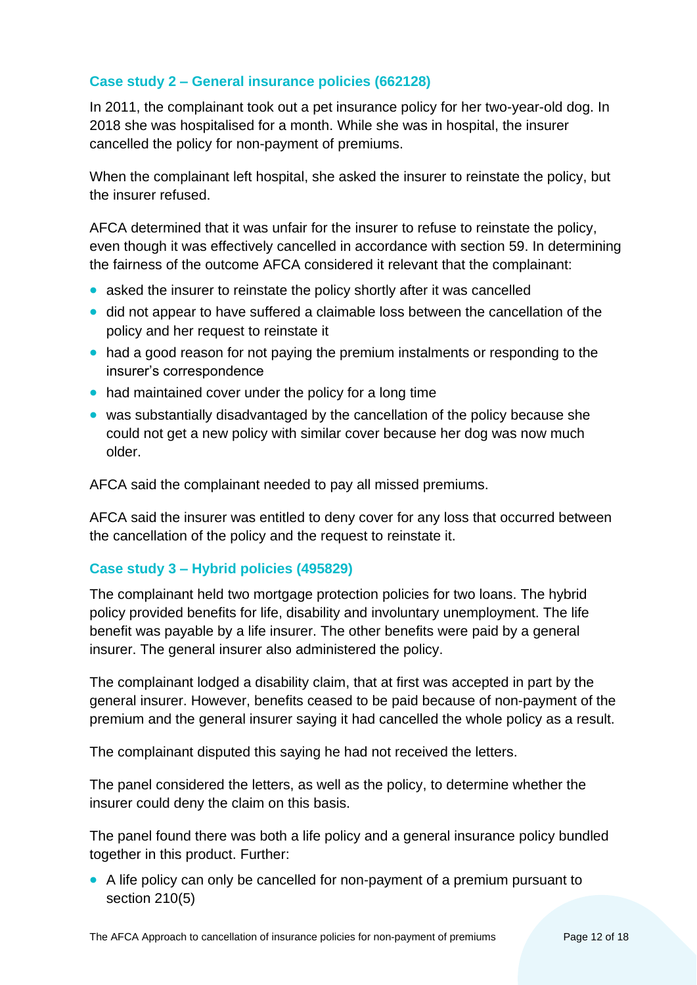# **Case study 2 – General insurance policies (662128)**

In 2011, the complainant took out a pet insurance policy for her two-year-old dog. In 2018 she was hospitalised for a month. While she was in hospital, the insurer cancelled the policy for non-payment of premiums.

When the complainant left hospital, she asked the insurer to reinstate the policy, but the insurer refused.

AFCA determined that it was unfair for the insurer to refuse to reinstate the policy, even though it was effectively cancelled in accordance with section 59. In determining the fairness of the outcome AFCA considered it relevant that the complainant:

- asked the insurer to reinstate the policy shortly after it was cancelled
- did not appear to have suffered a claimable loss between the cancellation of the policy and her request to reinstate it
- had a good reason for not paying the premium instalments or responding to the insurer's correspondence
- had maintained cover under the policy for a long time
- was substantially disadvantaged by the cancellation of the policy because she could not get a new policy with similar cover because her dog was now much older.

AFCA said the complainant needed to pay all missed premiums.

AFCA said the insurer was entitled to deny cover for any loss that occurred between the cancellation of the policy and the request to reinstate it.

# **Case study 3 – Hybrid policies (495829)**

The complainant held two mortgage protection policies for two loans. The hybrid policy provided benefits for life, disability and involuntary unemployment. The life benefit was payable by a life insurer. The other benefits were paid by a general insurer. The general insurer also administered the policy.

The complainant lodged a disability claim, that at first was accepted in part by the general insurer. However, benefits ceased to be paid because of non-payment of the premium and the general insurer saying it had cancelled the whole policy as a result.

The complainant disputed this saying he had not received the letters.

The panel considered the letters, as well as the policy, to determine whether the insurer could deny the claim on this basis.

The panel found there was both a life policy and a general insurance policy bundled together in this product. Further:

• A life policy can only be cancelled for non-payment of a premium pursuant to section 210(5)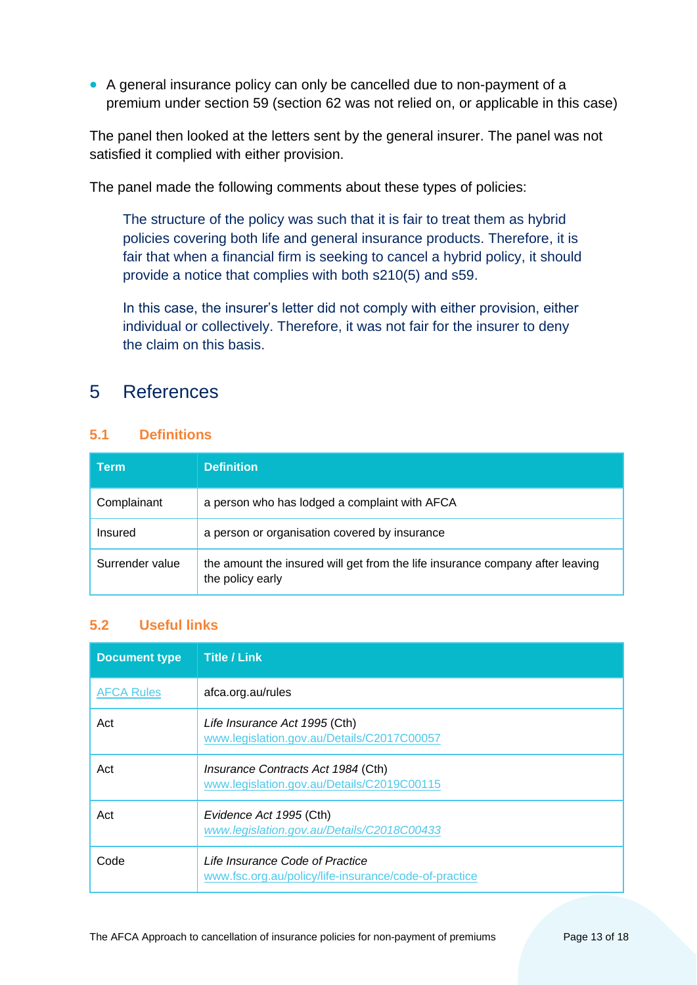• A general insurance policy can only be cancelled due to non-payment of a premium under section 59 (section 62 was not relied on, or applicable in this case)

The panel then looked at the letters sent by the general insurer. The panel was not satisfied it complied with either provision.

The panel made the following comments about these types of policies:

The structure of the policy was such that it is fair to treat them as hybrid policies covering both life and general insurance products. Therefore, it is fair that when a financial firm is seeking to cancel a hybrid policy, it should provide a notice that complies with both s210(5) and s59.

In this case, the insurer's letter did not comply with either provision, either individual or collectively. Therefore, it was not fair for the insurer to deny the claim on this basis.

# <span id="page-12-0"></span>5 References

#### <span id="page-12-1"></span>**5.1 Definitions**

| Term            | <b>Definition</b>                                                                                 |
|-----------------|---------------------------------------------------------------------------------------------------|
| Complainant     | a person who has lodged a complaint with AFCA                                                     |
| Insured         | a person or organisation covered by insurance                                                     |
| Surrender value | the amount the insured will get from the life insurance company after leaving<br>the policy early |

# <span id="page-12-2"></span>**5.2 Useful links**

| <b>Document type</b> | <b>Title / Link</b>                                                                      |
|----------------------|------------------------------------------------------------------------------------------|
| <b>AFCA Rules</b>    | afca.org.au/rules                                                                        |
| Act                  | Life Insurance Act 1995 (Cth)<br>www.legislation.gov.au/Details/C2017C00057              |
| Act                  | Insurance Contracts Act 1984 (Cth)<br>www.legislation.gov.au/Details/C2019C00115         |
| Act                  | Evidence Act 1995 (Cth)<br>www.legislation.gov.au/Details/C2018C00433                    |
| Code                 | Life Insurance Code of Practice<br>www.fsc.org.au/policy/life-insurance/code-of-practice |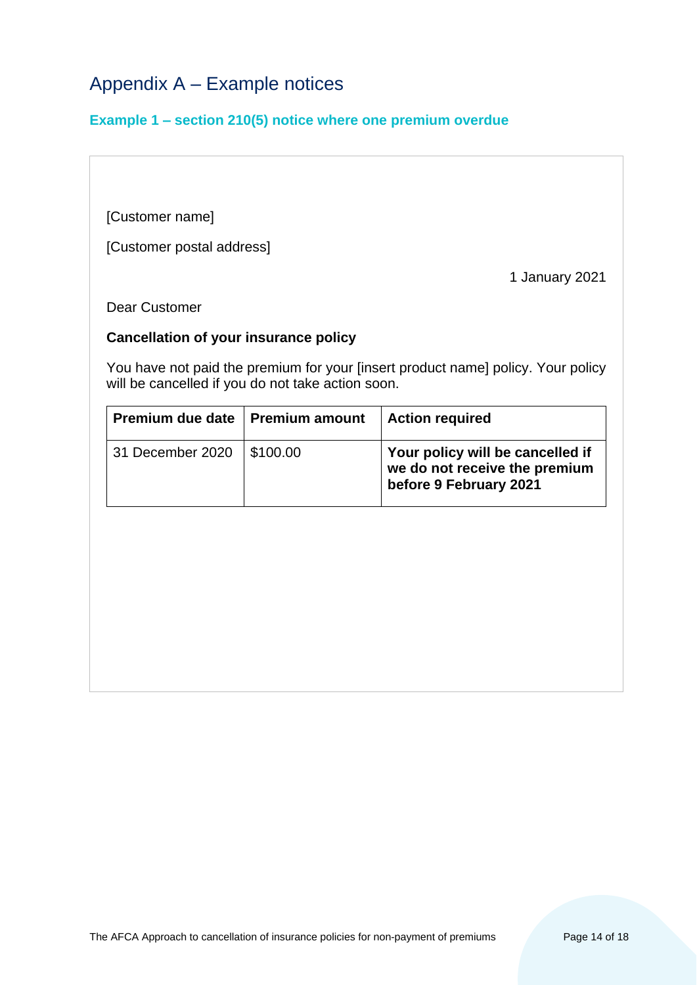# <span id="page-13-0"></span>Appendix A – Example notices

#### **Example 1 – section 210(5) notice where one premium overdue**

[Customer name]

[Customer postal address]

1 January 2021

Dear Customer

#### **Cancellation of your insurance policy**

You have not paid the premium for your [insert product name] policy. Your policy will be cancelled if you do not take action soon.

| Premium due date   Premium amount | <b>Action required</b>                                                                      |
|-----------------------------------|---------------------------------------------------------------------------------------------|
| 31 December 2020   \$100.00       | Your policy will be cancelled if<br>we do not receive the premium<br>before 9 February 2021 |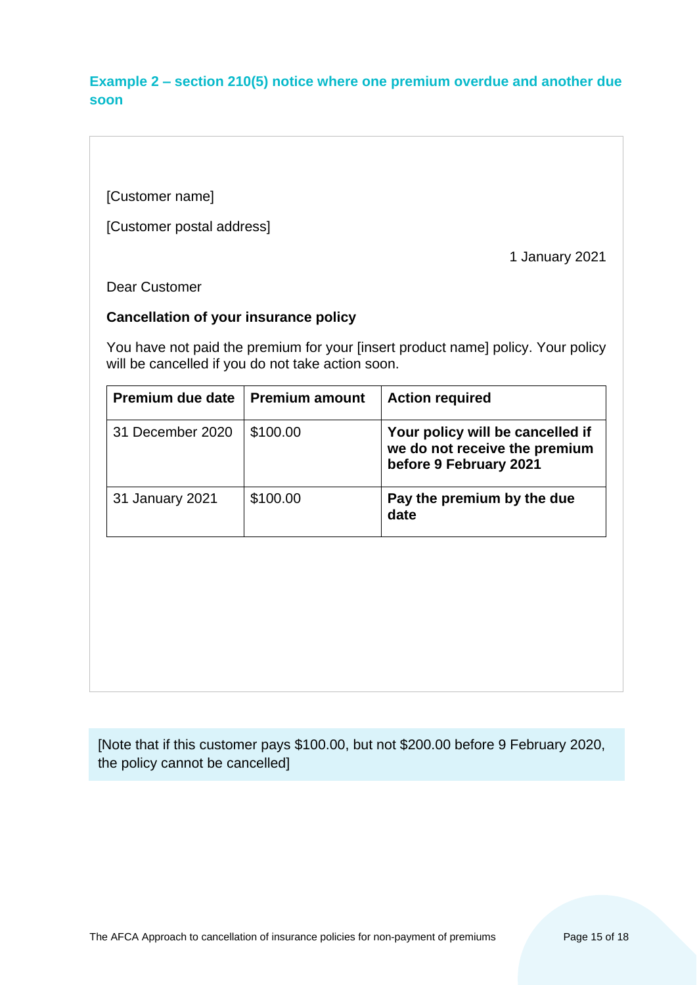# **Example 2 – section 210(5) notice where one premium overdue and another due soon**

[Customer name]

[Customer postal address]

1 January 2021

Dear Customer

# **Cancellation of your insurance policy**

You have not paid the premium for your [insert product name] policy. Your policy will be cancelled if you do not take action soon.

| Premium due date | <b>Premium amount</b> | <b>Action required</b>                                                                      |
|------------------|-----------------------|---------------------------------------------------------------------------------------------|
| 31 December 2020 | \$100.00              | Your policy will be cancelled if<br>we do not receive the premium<br>before 9 February 2021 |
| 31 January 2021  | \$100.00              | Pay the premium by the due<br>date                                                          |

[Note that if this customer pays \$100.00, but not \$200.00 before 9 February 2020, the policy cannot be cancelled]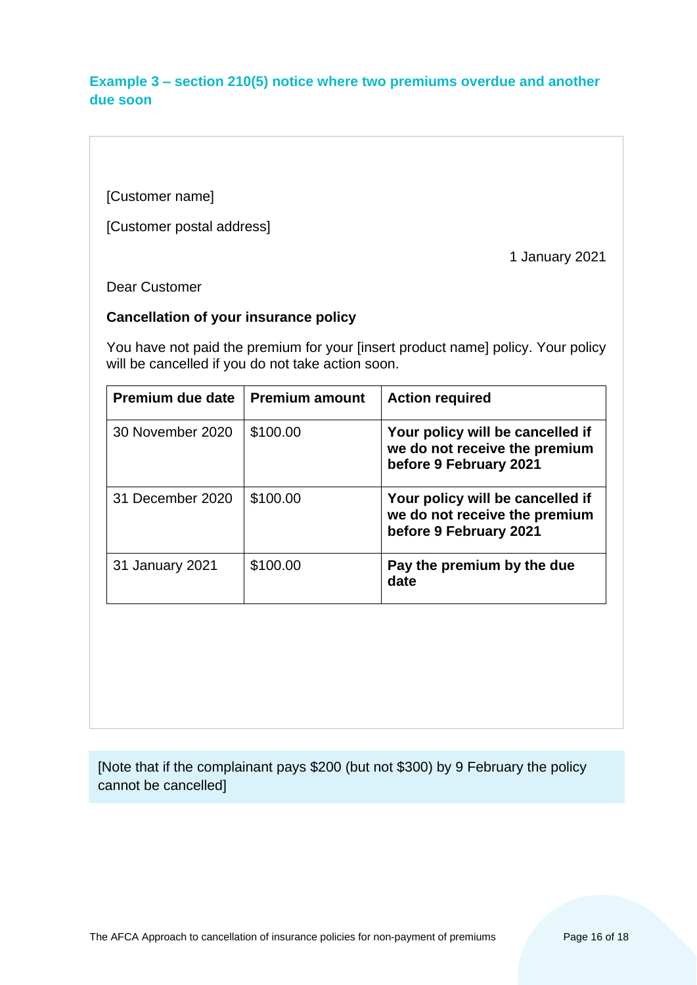# **Example 3 – section 210(5) notice where two premiums overdue and another due soon**

[Customer name]

[Customer postal address]

1 January 2021

Dear Customer

### **Cancellation of your insurance policy**

You have not paid the premium for your [insert product name] policy. Your policy will be cancelled if you do not take action soon.

| Premium due date | <b>Premium amount</b> | <b>Action required</b>                                                                      |
|------------------|-----------------------|---------------------------------------------------------------------------------------------|
| 30 November 2020 | \$100.00              | Your policy will be cancelled if<br>we do not receive the premium<br>before 9 February 2021 |
| 31 December 2020 | \$100.00              | Your policy will be cancelled if<br>we do not receive the premium<br>before 9 February 2021 |
| 31 January 2021  | \$100.00              | Pay the premium by the due<br>date                                                          |

[Note that if the complainant pays \$200 (but not \$300) by 9 February the policy cannot be cancelled]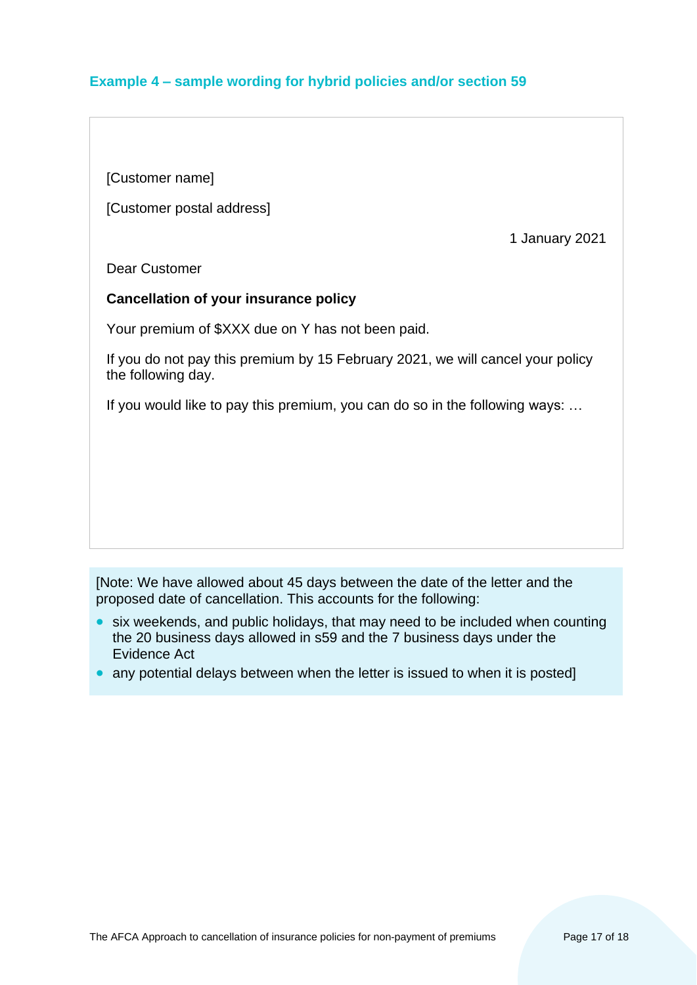# **Example 4 – sample wording for hybrid policies and/or section 59**

[Customer name]

[Customer postal address]

1 January 2021

Dear Customer

#### **Cancellation of your insurance policy**

Your premium of \$XXX due on Y has not been paid.

If you do not pay this premium by 15 February 2021, we will cancel your policy the following day.

If you would like to pay this premium, you can do so in the following ways: …

[Note: We have allowed about 45 days between the date of the letter and the proposed date of cancellation. This accounts for the following:

- six weekends, and public holidays, that may need to be included when counting the 20 business days allowed in s59 and the 7 business days under the Evidence Act
- any potential delays between when the letter is issued to when it is posted]